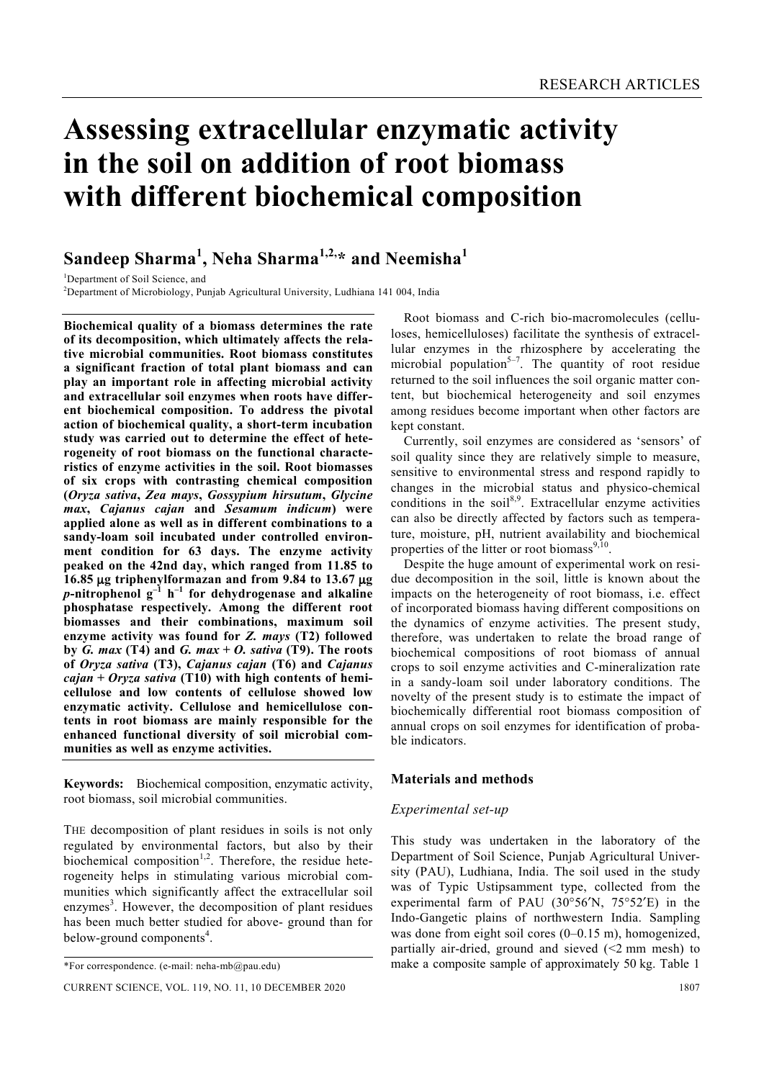# **Assessing extracellular enzymatic activity in the soil on addition of root biomass with different biochemical composition**

# **Sandeep Sharma<sup>1</sup> , Neha Sharma1,2,\* and Neemisha1**

<sup>1</sup>Department of Soil Science, and

2 Department of Microbiology, Punjab Agricultural University, Ludhiana 141 004, India

**Biochemical quality of a biomass determines the rate of its decomposition, which ultimately affects the relative microbial communities. Root biomass constitutes a significant fraction of total plant biomass and can play an important role in affecting microbial activity and extracellular soil enzymes when roots have different biochemical composition. To address the pivotal action of biochemical quality, a short-term incubation study was carried out to determine the effect of heterogeneity of root biomass on the functional characteristics of enzyme activities in the soil. Root biomasses of six crops with contrasting chemical composition (***Oryza sativa***,** *Zea mays***,** *Gossypium hirsutum***,** *Glycine max***,** *Cajanus cajan* **and** *Sesamum indicum***) were applied alone as well as in different combinations to a sandy-loam soil incubated under controlled environment condition for 63 days. The enzyme activity peaked on the 42nd day, which ranged from 11.85 to 16.85** μ**g triphenylformazan and from 9.84 to 13.67** μ**g**   $p$ **-nitrophenol**  $q^{-1}$  **h<sup>-1</sup> for dehydrogenase and alkaline phosphatase respectively. Among the different root biomasses and their combinations, maximum soil enzyme activity was found for** *Z. mays* **(T2) followed**  by  $G$ . max (T4) and  $G$ . max  $+ O$ . sativa (T9). The roots **of** *Oryza sativa* **(T3),** *Cajanus cajan* **(T6) and** *Cajanus cajan* **+** *Oryza sativa* **(T10) with high contents of hemicellulose and low contents of cellulose showed low enzymatic activity. Cellulose and hemicellulose contents in root biomass are mainly responsible for the enhanced functional diversity of soil microbial communities as well as enzyme activities.** 

**Keywords:** Biochemical composition, enzymatic activity, root biomass, soil microbial communities.

THE decomposition of plant residues in soils is not only regulated by environmental factors, but also by their biochemical composition<sup>1,2</sup>. Therefore, the residue heterogeneity helps in stimulating various microbial communities which significantly affect the extracellular soil enzymes<sup>3</sup>. However, the decomposition of plant residues has been much better studied for above- ground than for below-ground components<sup>4</sup>.

 Root biomass and C-rich bio-macromolecules (celluloses, hemicelluloses) facilitate the synthesis of extracellular enzymes in the rhizosphere by accelerating the microbial population<sup>5-7</sup>. The quantity of root residue returned to the soil influences the soil organic matter content, but biochemical heterogeneity and soil enzymes among residues become important when other factors are kept constant.

 Currently, soil enzymes are considered as 'sensors' of soil quality since they are relatively simple to measure, sensitive to environmental stress and respond rapidly to changes in the microbial status and physico-chemical conditions in the soil $8.9$ . Extracellular enzyme activities can also be directly affected by factors such as temperature, moisture, pH, nutrient availability and biochemical properties of the litter or root biomass<sup>9,10</sup>.

 Despite the huge amount of experimental work on residue decomposition in the soil, little is known about the impacts on the heterogeneity of root biomass, i.e. effect of incorporated biomass having different compositions on the dynamics of enzyme activities. The present study, therefore, was undertaken to relate the broad range of biochemical compositions of root biomass of annual crops to soil enzyme activities and C-mineralization rate in a sandy-loam soil under laboratory conditions. The novelty of the present study is to estimate the impact of biochemically differential root biomass composition of annual crops on soil enzymes for identification of probable indicators.

#### **Materials and methods**

#### *Experimental set-up*

This study was undertaken in the laboratory of the Department of Soil Science, Punjab Agricultural University (PAU), Ludhiana, India. The soil used in the study was of Typic Ustipsamment type, collected from the experimental farm of PAU (30°56′N, 75°52′E) in the Indo-Gangetic plains of northwestern India. Sampling was done from eight soil cores (0–0.15 m), homogenized, partially air-dried, ground and sieved  $(\leq 2 \text{ mm mesh})$  to make a composite sample of approximately 50 kg. Table 1

<sup>\*</sup>For correspondence. (e-mail: neha-mb@pau.edu)

CURRENT SCIENCE, VOL. 119, NO. 11, 10 DECEMBER 2020 1807 1807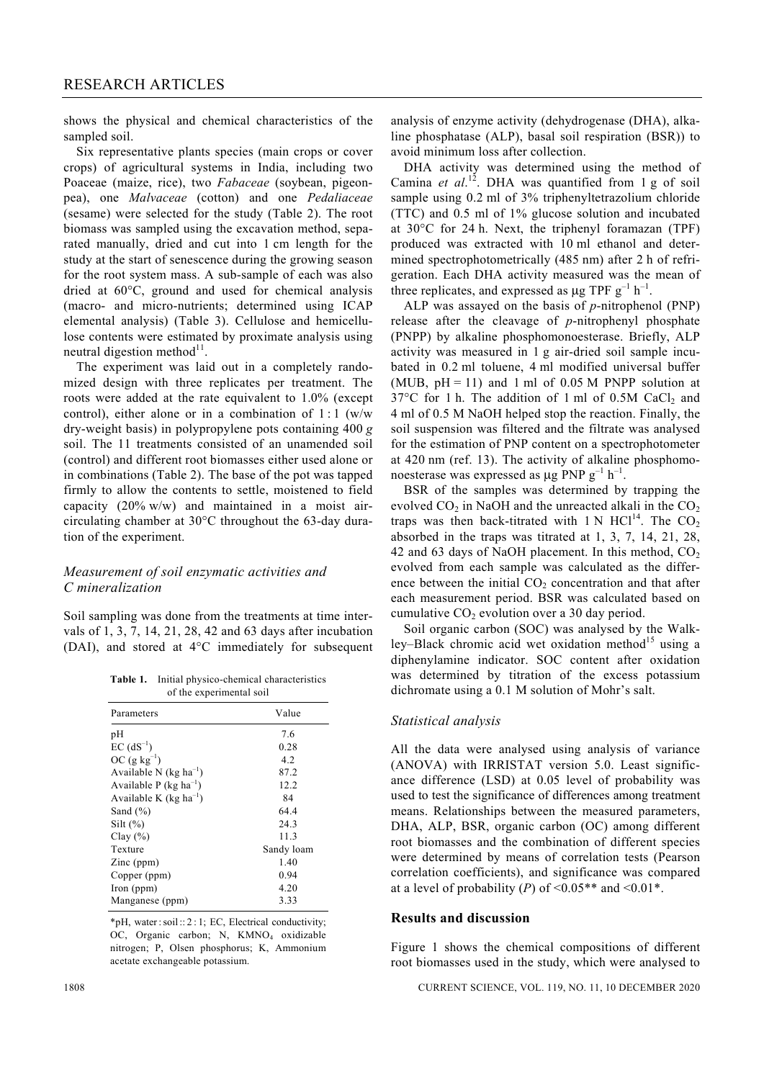shows the physical and chemical characteristics of the sampled soil.

 Six representative plants species (main crops or cover crops) of agricultural systems in India, including two Poaceae (maize, rice), two *Fabaceae* (soybean, pigeonpea), one *Malvaceae* (cotton) and one *Pedaliaceae*  (sesame) were selected for the study (Table 2). The root biomass was sampled using the excavation method, separated manually, dried and cut into 1 cm length for the study at the start of senescence during the growing season for the root system mass. A sub-sample of each was also dried at 60°C, ground and used for chemical analysis (macro- and micro-nutrients; determined using ICAP elemental analysis) (Table 3). Cellulose and hemicellulose contents were estimated by proximate analysis using neutral digestion method<sup>11</sup>.

 The experiment was laid out in a completely randomized design with three replicates per treatment. The roots were added at the rate equivalent to 1.0% (except control), either alone or in a combination of  $1:1$  (w/w dry-weight basis) in polypropylene pots containing 400 *g* soil. The 11 treatments consisted of an unamended soil (control) and different root biomasses either used alone or in combinations (Table 2). The base of the pot was tapped firmly to allow the contents to settle, moistened to field capacity (20% w/w) and maintained in a moist aircirculating chamber at 30°C throughout the 63-day duration of the experiment.

### *Measurement of soil enzymatic activities and C mineralization*

Soil sampling was done from the treatments at time intervals of 1, 3, 7, 14, 21, 28, 42 and 63 days after incubation (DAI), and stored at 4°C immediately for subsequent

**Table 1.** Initial physico-chemical characteristics of the experimental soil

| Value      |
|------------|
| 7.6        |
| 0.28       |
| 4.2        |
| 87.2       |
| 12.2       |
| 84         |
| 64.4       |
| 24.3       |
| 11.3       |
| Sandy loam |
| 1.40       |
| 0.94       |
| 4.20       |
| 3.33       |
|            |

\*pH, water:soil :: 2 : 1; EC, Electrical conductivity; OC, Organic carbon; N, KMNO<sub>4</sub> oxidizable nitrogen; P, Olsen phosphorus; K, Ammonium acetate exchangeable potassium.

analysis of enzyme activity (dehydrogenase (DHA), alkaline phosphatase (ALP), basal soil respiration (BSR)) to avoid minimum loss after collection.

 DHA activity was determined using the method of Camina et al.<sup>12</sup>. DHA was quantified from 1 g of soil sample using 0.2 ml of 3% triphenyltetrazolium chloride (TTC) and 0.5 ml of 1% glucose solution and incubated at 30°C for 24 h. Next, the triphenyl foramazan (TPF) produced was extracted with 10 ml ethanol and determined spectrophotometrically (485 nm) after 2 h of refrigeration. Each DHA activity measured was the mean of three replicates, and expressed as  $\mu$ g TPF g<sup>-1</sup> h<sup>-1</sup>.

 ALP was assayed on the basis of *p*-nitrophenol (PNP) release after the cleavage of *p*-nitrophenyl phosphate (PNPP) by alkaline phosphomonoesterase. Briefly, ALP activity was measured in 1 g air-dried soil sample incubated in 0.2 ml toluene, 4 ml modified universal buffer (MUB,  $pH = 11$ ) and 1 ml of 0.05 M PNPP solution at  $37^{\circ}$ C for 1 h. The addition of 1 ml of 0.5M CaCl<sub>2</sub> and 4 ml of 0.5 M NaOH helped stop the reaction. Finally, the soil suspension was filtered and the filtrate was analysed for the estimation of PNP content on a spectrophotometer at 420 nm (ref. 13). The activity of alkaline phosphomonoesterase was expressed as  $\mu$ g PNP g<sup>-1</sup> h<sup>-1</sup>.

 BSR of the samples was determined by trapping the evolved  $CO_2$  in NaOH and the unreacted alkali in the  $CO_2$ traps was then back-titrated with  $1 N HCl<sup>14</sup>$ . The CO<sub>2</sub> absorbed in the traps was titrated at 1, 3, 7, 14, 21, 28, 42 and 63 days of NaOH placement. In this method,  $CO<sub>2</sub>$ evolved from each sample was calculated as the difference between the initial  $CO<sub>2</sub>$  concentration and that after each measurement period. BSR was calculated based on cumulative  $CO<sub>2</sub>$  evolution over a 30 day period.

 Soil organic carbon (SOC) was analysed by the Walkley–Black chromic acid wet oxidation method<sup>15</sup> using a diphenylamine indicator. SOC content after oxidation was determined by titration of the excess potassium dichromate using a 0.1 M solution of Mohr's salt.

#### *Statistical analysis*

All the data were analysed using analysis of variance (ANOVA) with IRRISTAT version 5.0. Least significance difference (LSD) at 0.05 level of probability was used to test the significance of differences among treatment means. Relationships between the measured parameters, DHA, ALP, BSR, organic carbon (OC) among different root biomasses and the combination of different species were determined by means of correlation tests (Pearson correlation coefficients), and significance was compared at a level of probability (*P*) of  $\leq 0.05**$  and  $\leq 0.01*$ .

#### **Results and discussion**

Figure 1 shows the chemical compositions of different root biomasses used in the study, which were analysed to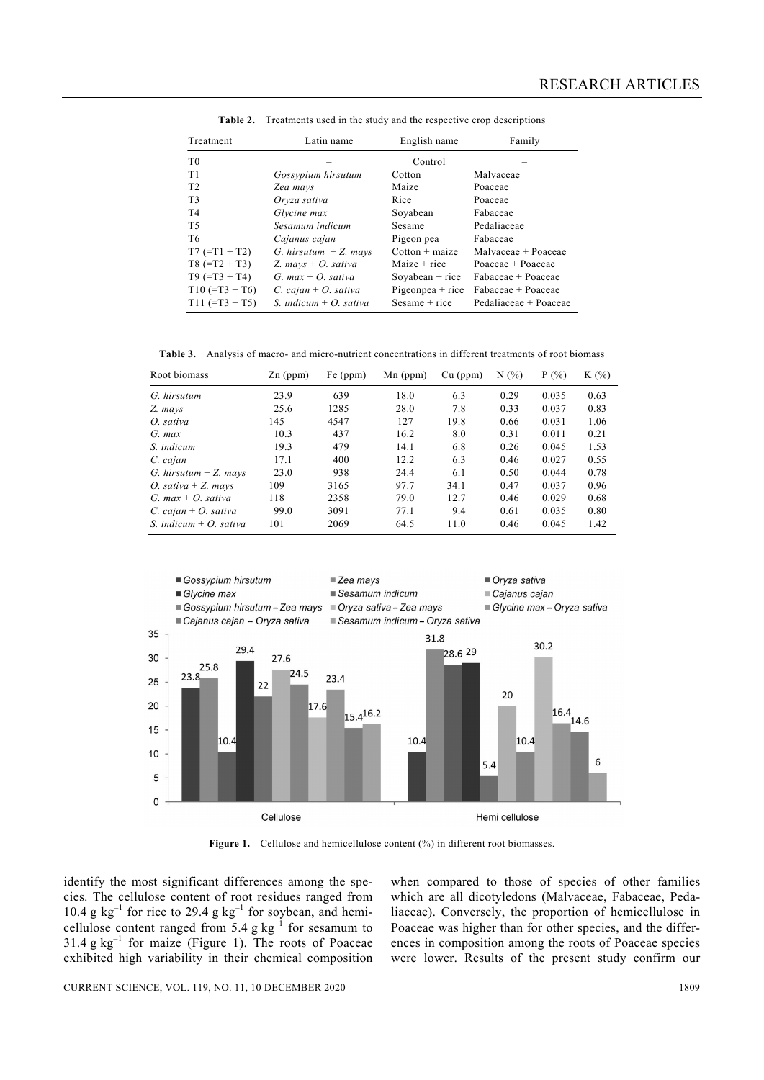| Treatment        | Latin name               | English name       | Family                |
|------------------|--------------------------|--------------------|-----------------------|
| T <sub>0</sub>   |                          | Control            |                       |
| T1               | Gossypium hirsutum       | Cotton             | Malvaceae             |
| T <sub>2</sub>   | Zea mays                 | Maize              | Poaceae               |
| T <sub>3</sub>   | Oryza sativa             | Rice               | Poaceae               |
| T <sub>4</sub>   | Glycine max              | Soyabean           | Fabaceae              |
| T <sub>5</sub>   | Sesamum indicum          | Sesame             | Pedaliaceae           |
| T6               | Cajanus cajan            | Pigeon pea         | Fabaceae              |
| $T7 (=T1 + T2)$  | G. hirsutum $+Z$ . mays  | $Cotton +{maize}$  | Malvaceae + Poaceae   |
| $T8 (= T2 + T3)$ | Z. mays $+$ O. sativa    | $Maize + rice$     | Poaceae + Poaceae     |
| $T9 (=T3 + T4)$  | G. max $+$ O. sativa     | Sovabean $+$ rice  | Fabaceae + Poaceae    |
| $T10 (=T3 + T6)$ | C. cajan + O. sativa     | Pigeonpea $+$ rice | Fabaceae + Poaceae    |
| $T11 (=T3 + T5)$ | S. indicum $+$ O. sativa | $Sesame + rice$    | Pedaliaceae + Poaceae |

**Table 2.** Treatments used in the study and the respective crop descriptions

**Table 3.** Analysis of macro- and micro-nutrient concentrations in different treatments of root biomass

| Root biomass             | $Zn$ (ppm) | Fe (ppm) | $Mn$ (ppm) | $Cu$ (ppm) | N(%) | $P(\% )$ | $K(\%)$ |  |
|--------------------------|------------|----------|------------|------------|------|----------|---------|--|
| G. hirsutum              | 23.9       | 639      | 18.0       | 6.3        | 0.29 | 0.035    | 0.63    |  |
| Z. mays                  | 25.6       | 1285     | 28.0       | 7.8        | 0.33 | 0.037    | 0.83    |  |
| $O.$ sativa              | 145        | 4547     | 127        | 19.8       | 0.66 | 0.031    | 1.06    |  |
| G. max                   | 10.3       | 437      | 16.2       | 8.0        | 0.31 | 0.011    | 0.21    |  |
| S. indicum               | 19.3       | 479      | 14.1       | 6.8        | 0.26 | 0.045    | 1.53    |  |
| C. cajan                 | 17.1       | 400      | 12.2       | 6.3        | 0.46 | 0.027    | 0.55    |  |
| G. hirsutum $+Z$ . mays  | 23.0       | 938      | 24.4       | 6.1        | 0.50 | 0.044    | 0.78    |  |
| O. sativa + Z. mays      | 109        | 3165     | 97.7       | 34.1       | 0.47 | 0.037    | 0.96    |  |
| $G.$ max + $O.$ sativa   | 118        | 2358     | 79.0       | 12.7       | 0.46 | 0.029    | 0.68    |  |
| C. cajan + O. sativa     | 99.0       | 3091     | 77.1       | 9.4        | 0.61 | 0.035    | 0.80    |  |
| S. indicum $+$ O. sativa | 101        | 2069     | 64.5       | 11.0       | 0.46 | 0.045    | 1.42    |  |



Figure 1. Cellulose and hemicellulose content (%) in different root biomasses.

identify the most significant differences among the species. The cellulose content of root residues ranged from 10.4 g  $kg^{-1}$  for rice to 29.4 g  $kg^{-1}$  for soybean, and hemicellulose content ranged from 5.4 g  $kg^{-1}$  for sesamum to  $31.4 \text{ g kg}^{-1}$  for maize (Figure 1). The roots of Poaceae exhibited high variability in their chemical composition

when compared to those of species of other families which are all dicotyledons (Malvaceae, Fabaceae, Pedaliaceae). Conversely, the proportion of hemicellulose in Poaceae was higher than for other species, and the differences in composition among the roots of Poaceae species were lower. Results of the present study confirm our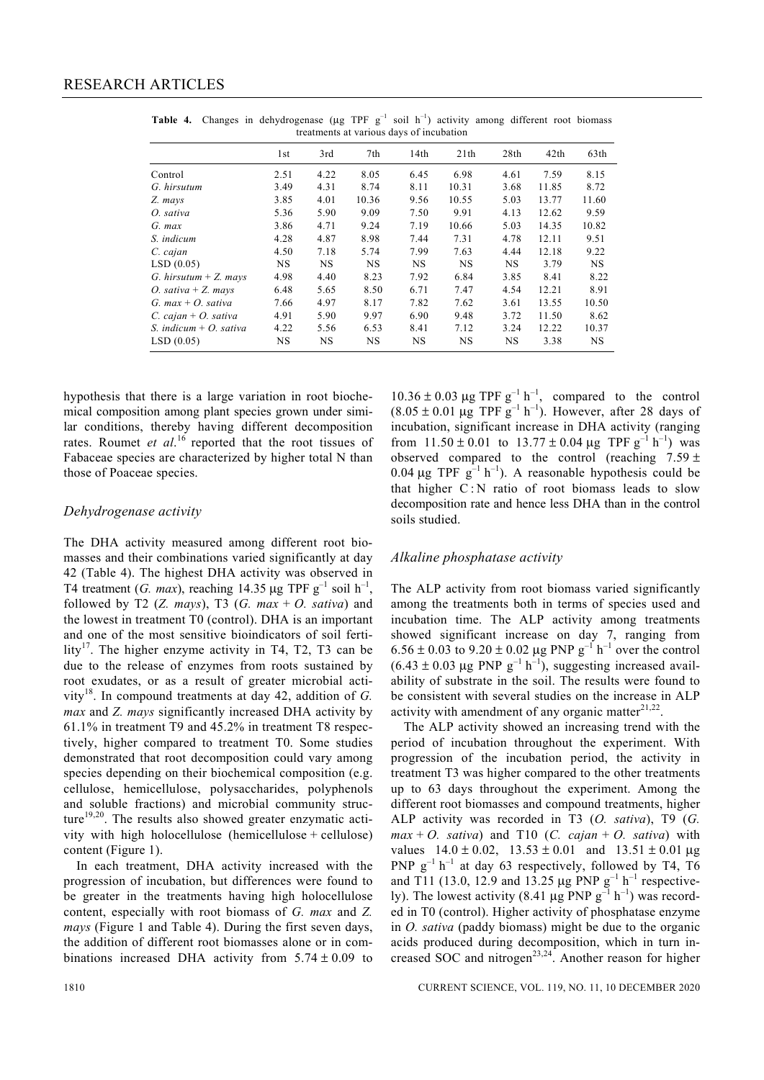| treatments at various days of incubation |           |           |           |           |           |           |       |           |  |
|------------------------------------------|-----------|-----------|-----------|-----------|-----------|-----------|-------|-----------|--|
|                                          | 1st       | 3rd       | 7th       | 14th      | 21th      | 28th      | 42th  | 63th      |  |
| Control                                  | 2.51      | 4.22      | 8.05      | 6.45      | 6.98      | 4.61      | 7.59  | 8.15      |  |
| G. hirsutum                              | 3.49      | 4.31      | 8.74      | 8.11      | 10.31     | 3.68      | 11.85 | 8.72      |  |
| Z. mays                                  | 3.85      | 4.01      | 10.36     | 9.56      | 10.55     | 5.03      | 13.77 | 11.60     |  |
| O. sativa                                | 5.36      | 5.90      | 9.09      | 7.50      | 9.91      | 4.13      | 12.62 | 9.59      |  |
| G. max                                   | 3.86      | 4.71      | 9.24      | 7.19      | 10.66     | 5.03      | 14.35 | 10.82     |  |
| S. indicum                               | 4.28      | 4.87      | 8.98      | 7.44      | 7.31      | 4.78      | 12.11 | 9.51      |  |
| C. cajan                                 | 4.50      | 7.18      | 5.74      | 7.99      | 7.63      | 4.44      | 12.18 | 9.22      |  |
| LSD(0.05)                                | <b>NS</b> | <b>NS</b> | <b>NS</b> | <b>NS</b> | <b>NS</b> | <b>NS</b> | 3.79  | <b>NS</b> |  |
| G. hirsutum $+Z$ . mays                  | 4.98      | 4.40      | 8.23      | 7.92      | 6.84      | 3.85      | 8.41  | 8.22      |  |
| O. sativa $+Z$ . mays                    | 6.48      | 5.65      | 8.50      | 6.71      | 7.47      | 4.54      | 12.21 | 8.91      |  |
| G. max $+$ O. sativa                     | 7.66      | 4.97      | 8.17      | 7.82      | 7.62      | 3.61      | 13.55 | 10.50     |  |
| $C.$ cajan + O. sativa                   | 4.91      | 5.90      | 9.97      | 6.90      | 9.48      | 3.72      | 11.50 | 8.62      |  |
| S. indicum + O. sativa                   | 4.22      | 5.56      | 6.53      | 8.41      | 7.12      | 3.24      | 12.22 | 10.37     |  |
| LSD (0.05)                               | <b>NS</b> | NS        | NS        | <b>NS</b> | <b>NS</b> | NS        | 3.38  | <b>NS</b> |  |
|                                          |           |           |           |           |           |           |       |           |  |

Table 4. Changes in dehydrogenase (μg TPF g<sup>-1</sup> soil h<sup>-1</sup>) activity among different root biomass treatments at various days of incubation

hypothesis that there is a large variation in root biochemical composition among plant species grown under similar conditions, thereby having different decomposition rates. Roumet *et al.*<sup>16</sup> reported that the root tissues of Fabaceae species are characterized by higher total N than those of Poaceae species.

#### *Dehydrogenase activity*

The DHA activity measured among different root biomasses and their combinations varied significantly at day 42 (Table 4). The highest DHA activity was observed in T4 treatment (*G. max*), reaching 14.35 μg TPF  $g^{-1}$  soil h<sup>-1</sup>. followed by T2  $(Z.$  mays), T3  $(G.$  max  $+ O.$  sativa) and the lowest in treatment T0 (control). DHA is an important and one of the most sensitive bioindicators of soil fertility<sup>17</sup>. The higher enzyme activity in T4, T2, T3 can be due to the release of enzymes from roots sustained by root exudates, or as a result of greater microbial activity18. In compound treatments at day 42, addition of *G. max* and *Z. mays* significantly increased DHA activity by 61.1% in treatment T9 and 45.2% in treatment T8 respectively, higher compared to treatment T0. Some studies demonstrated that root decomposition could vary among species depending on their biochemical composition (e.g. cellulose, hemicellulose, polysaccharides, polyphenols and soluble fractions) and microbial community structure<sup>19,20</sup>. The results also showed greater enzymatic activity with high holocellulose (hemicellulose + cellulose) content (Figure 1).

 In each treatment, DHA activity increased with the progression of incubation, but differences were found to be greater in the treatments having high holocellulose content, especially with root biomass of *G. max* and *Z. mays* (Figure 1 and Table 4). During the first seven days, the addition of different root biomasses alone or in combinations increased DHA activity from  $5.74 \pm 0.09$  to

 $10.36 \pm 0.03$   $\mu$ g TPF g<sup>-1</sup> h<sup>-1</sup>, compared to the control  $(8.05 \pm 0.01 \,\mu g$  TPF  $g^{-1}$  h<sup>-1</sup>). However, after 28 days of incubation, significant increase in DHA activity (ranging from  $11.50 \pm 0.01$  to  $13.77 \pm 0.04$  µg TPF g<sup>-1</sup> h<sup>-1</sup>) was observed compared to the control (reaching  $7.59 \pm$ 0.04 μg TPF  $g^{-1} h^{-1}$ ). A reasonable hypothesis could be that higher  $C : N$  ratio of root biomass leads to slow decomposition rate and hence less DHA than in the control soils studied.

#### *Alkaline phosphatase activity*

The ALP activity from root biomass varied significantly among the treatments both in terms of species used and incubation time. The ALP activity among treatments showed significant increase on day 7, ranging from  $6.56 \pm 0.03$  to  $9.20 \pm 0.02$  µg PNP g<sup>-1</sup> h<sup>-1</sup> over the control  $(6.43 \pm 0.03 \,\mu g$  PNP g<sup>-1</sup> h<sup>-1</sup>), suggesting increased availability of substrate in the soil. The results were found to be consistent with several studies on the increase in ALP activity with amendment of any organic matter $2^{1,22}$ .

 The ALP activity showed an increasing trend with the period of incubation throughout the experiment. With progression of the incubation period, the activity in treatment T3 was higher compared to the other treatments up to 63 days throughout the experiment. Among the different root biomasses and compound treatments, higher ALP activity was recorded in T3 (*O. sativa*), T9 (*G.*   $max + O$ *. sativa*) and T10 (*C. cajan* + *O. sativa*) with values  $14.0 \pm 0.02$ ,  $13.53 \pm 0.01$  and  $13.51 \pm 0.01$  µg PNP  $g^{-1}$  h<sup>-1</sup> at day 63 respectively, followed by T4, T6 and T11 (13.0, 12.9 and 13.25  $\mu$ g PNP g<sup>-1</sup> h<sup>-1</sup> respectively). The lowest activity (8.41  $\mu$ g PNP g<sup>-1</sup> h<sup>-1</sup>) was recorded in T0 (control). Higher activity of phosphatase enzyme in *O. sativa* (paddy biomass) might be due to the organic acids produced during decomposition, which in turn increased SOC and nitrogen<sup>23,24</sup>. Another reason for higher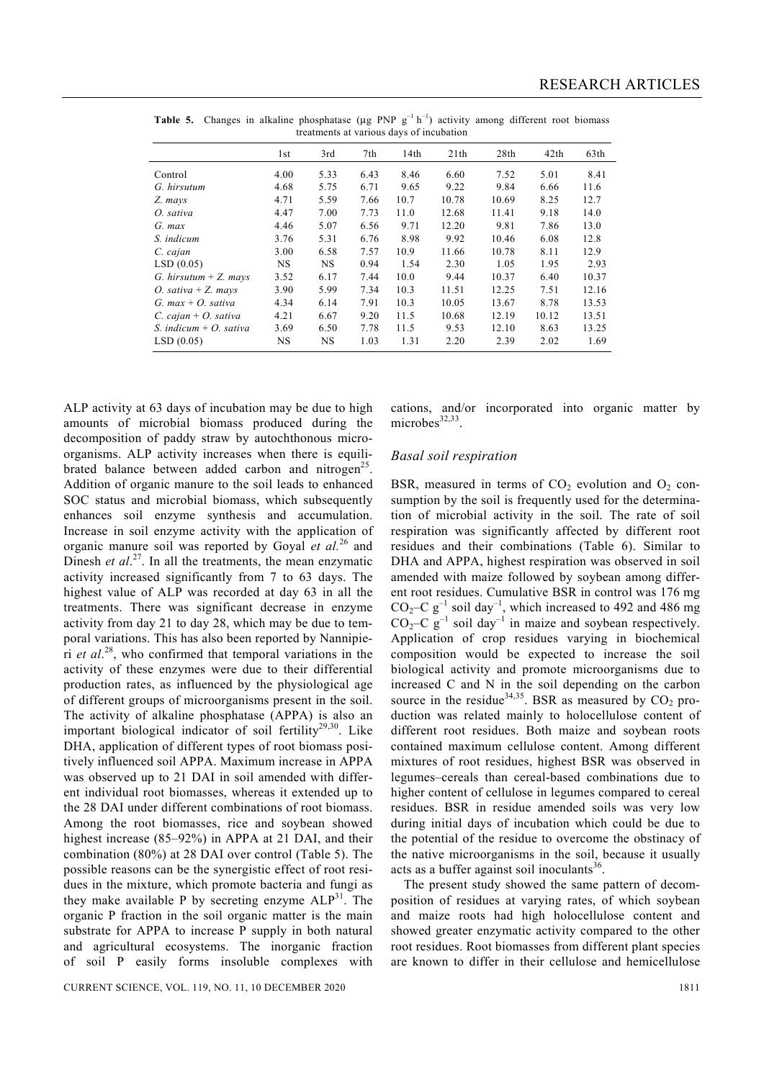|                          | 1st       | 3rd       | 7th  | 14th | 21th  | 28th  | 42th  | 63th  |
|--------------------------|-----------|-----------|------|------|-------|-------|-------|-------|
| Control                  | 4.00      | 5.33      | 6.43 | 8.46 | 6.60  | 7.52  | 5.01  | 8.41  |
| G. hirsutum              | 4.68      | 5.75      | 6.71 | 9.65 | 9.22  | 9.84  | 6.66  | 11.6  |
| Z. mays                  | 4.71      | 5.59      | 7.66 | 10.7 | 10.78 | 10.69 | 8.25  | 12.7  |
| O. sativa                | 4.47      | 7.00      | 7.73 | 11.0 | 12.68 | 11.41 | 9.18  | 14.0  |
| G. max                   | 4.46      | 5.07      | 6.56 | 9.71 | 12.20 | 9.81  | 7.86  | 13.0  |
| S. indicum               | 3.76      | 5.31      | 6.76 | 8.98 | 9.92  | 10.46 | 6.08  | 12.8  |
| C. cajan                 | 3.00      | 6.58      | 7.57 | 10.9 | 11.66 | 10.78 | 8.11  | 12.9  |
| LSD(0.05)                | <b>NS</b> | <b>NS</b> | 0.94 | 1.54 | 2.30  | 1.05  | 1.95  | 2.93  |
| G. hirsutum + Z. mays    | 3.52      | 6.17      | 7.44 | 10.0 | 9.44  | 10.37 | 6.40  | 10.37 |
| $O.$ sativa + Z. mays    | 3.90      | 5.99      | 7.34 | 10.3 | 11.51 | 12.25 | 7.51  | 12.16 |
| G. max $+$ O. sativa     | 4.34      | 6.14      | 7.91 | 10.3 | 10.05 | 13.67 | 8.78  | 13.53 |
| $C.$ cajan + $O.$ sativa | 4.21      | 6.67      | 9.20 | 11.5 | 10.68 | 12.19 | 10.12 | 13.51 |
| S. indicum + O. sativa   | 3.69      | 6.50      | 7.78 | 11.5 | 9.53  | 12.10 | 8.63  | 13.25 |
| LSD (0.05)               | <b>NS</b> | NS        | 1.03 | 1.31 | 2.20  | 2.39  | 2.02  | 1.69  |
|                          |           |           |      |      |       |       |       |       |

**Table 5.** Changes in alkaline phosphatase ( $\mu$ g PNP  $g^{-1}$  h<sup>-1</sup>) activity among different root biomass treatments at various days of incubation

ALP activity at 63 days of incubation may be due to high amounts of microbial biomass produced during the decomposition of paddy straw by autochthonous microorganisms. ALP activity increases when there is equilibrated balance between added carbon and nitrogen<sup>25</sup>. Addition of organic manure to the soil leads to enhanced SOC status and microbial biomass, which subsequently enhances soil enzyme synthesis and accumulation. Increase in soil enzyme activity with the application of organic manure soil was reported by Goyal *et al.*26 and Dinesh *et al.*<sup>27</sup>. In all the treatments, the mean enzymatic activity increased significantly from 7 to 63 days. The highest value of ALP was recorded at day 63 in all the treatments. There was significant decrease in enzyme activity from day 21 to day 28, which may be due to temporal variations. This has also been reported by Nannipieri *et al*. 28, who confirmed that temporal variations in the activity of these enzymes were due to their differential production rates, as influenced by the physiological age of different groups of microorganisms present in the soil. The activity of alkaline phosphatase (APPA) is also an important biological indicator of soil fertility<sup>29,30</sup>. Like DHA, application of different types of root biomass positively influenced soil APPA. Maximum increase in APPA was observed up to 21 DAI in soil amended with different individual root biomasses, whereas it extended up to the 28 DAI under different combinations of root biomass. Among the root biomasses, rice and soybean showed highest increase (85–92%) in APPA at 21 DAI, and their combination (80%) at 28 DAI over control (Table 5). The possible reasons can be the synergistic effect of root residues in the mixture, which promote bacteria and fungi as they make available P by secreting enzyme  $ALP<sup>31</sup>$ . The organic P fraction in the soil organic matter is the main substrate for APPA to increase P supply in both natural and agricultural ecosystems. The inorganic fraction of soil P easily forms insoluble complexes with

cations, and/or incorporated into organic matter by microbes<sup>32,33</sup>

#### *Basal soil respiration*

BSR, measured in terms of  $CO<sub>2</sub>$  evolution and  $O<sub>2</sub>$  consumption by the soil is frequently used for the determination of microbial activity in the soil. The rate of soil respiration was significantly affected by different root residues and their combinations (Table 6). Similar to DHA and APPA, highest respiration was observed in soil amended with maize followed by soybean among different root residues. Cumulative BSR in control was 176 mg CO<sub>2</sub>–C g<sup>-1</sup> soil day<sup>-1</sup>, which increased to 492 and 486 mg  $CO<sub>2</sub>–C g<sup>-1</sup>$  soil day<sup>-1</sup> in maize and soybean respectively. Application of crop residues varying in biochemical composition would be expected to increase the soil biological activity and promote microorganisms due to increased C and N in the soil depending on the carbon source in the residue<sup>34,35</sup>. BSR as measured by  $CO<sub>2</sub>$  production was related mainly to holocellulose content of different root residues. Both maize and soybean roots contained maximum cellulose content. Among different mixtures of root residues, highest BSR was observed in legumes–cereals than cereal-based combinations due to higher content of cellulose in legumes compared to cereal residues. BSR in residue amended soils was very low during initial days of incubation which could be due to the potential of the residue to overcome the obstinacy of the native microorganisms in the soil, because it usually acts as a buffer against soil inoculants $36$ .

 The present study showed the same pattern of decomposition of residues at varying rates, of which soybean and maize roots had high holocellulose content and showed greater enzymatic activity compared to the other root residues. Root biomasses from different plant species are known to differ in their cellulose and hemicellulose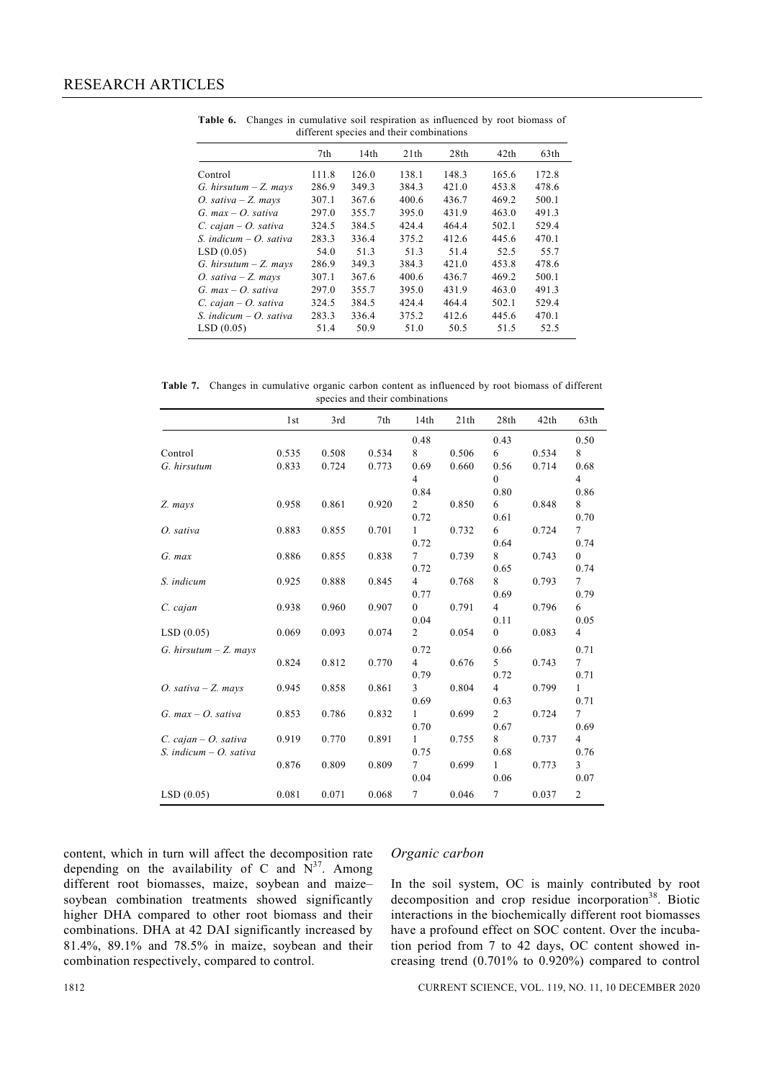|                          | 7th   | 14th  | 21th  | 28 <sub>th</sub> | 42th  | 63th  |
|--------------------------|-------|-------|-------|------------------|-------|-------|
| Control                  | 111.8 | 126.0 | 138.1 | 148.3            | 165.6 | 172.8 |
| G. hirsutum $-Z$ . mays  | 286.9 | 349.3 | 384.3 | 421.0            | 453.8 | 478.6 |
| O. sativa – $Z$ . mays   | 307.1 | 367.6 | 400.6 | 436.7            | 469.2 | 500.1 |
| $G.$ max $-$ O. sativa   | 297.0 | 355.7 | 395.0 | 431.9            | 463.0 | 491.3 |
| $C.$ cajan – $O.$ sativa | 324.5 | 384.5 | 424.4 | 464.4            | 502.1 | 529.4 |
| S. indicum $-$ O. sativa | 283.3 | 336.4 | 375.2 | 412.6            | 445.6 | 470.1 |
| LSD(0.05)                | 54.0  | 51.3  | 51.3  | 51.4             | 52.5  | 55.7  |
| G. hirsutum $-Z$ . mays  | 286.9 | 349.3 | 384.3 | 421.0            | 453.8 | 478.6 |
| O. sativa – $Z$ . mays   | 307.1 | 367.6 | 400.6 | 436.7            | 469.2 | 500.1 |
| $G.$ max $-$ O. sativa   | 297.0 | 355.7 | 395.0 | 431.9            | 463.0 | 491.3 |
| $C.$ cajan – $O.$ sativa | 324.5 | 384.5 | 424.4 | 464.4            | 502.1 | 529.4 |
| S. indicum $-$ O. sativa | 283.3 | 336.4 | 375.2 | 412.6            | 445.6 | 470.1 |
| LSD(0.05)                | 51.4  | 50.9  | 51.0  | 50.5             | 51.5  | 52.5  |

**Table 6.** Changes in cumulative soil respiration as influenced by root biomass of different species and their combinations

**Table 7.** Changes in cumulative organic carbon content as influenced by root biomass of different species and their combinations

|                            | 1st   | 3rd   | 7th   | 14th           | 21th  | 28th           | 42th  | 63th           |
|----------------------------|-------|-------|-------|----------------|-------|----------------|-------|----------------|
|                            |       |       |       | 0.48           |       | 0.43           |       | 0.50           |
| Control                    | 0.535 | 0.508 | 0.534 | 8              | 0.506 | 6              | 0.534 | 8              |
| G. hirsutum                | 0.833 | 0.724 | 0.773 | 0.69           | 0.660 | 0.56           | 0.714 | 0.68           |
|                            |       |       |       | 4              |       | $\mathbf{0}$   |       | $\overline{4}$ |
|                            |       |       |       | 0.84           |       | 0.80           |       | 0.86           |
| Z. mays                    | 0.958 | 0.861 | 0.920 | 2              | 0.850 | 6              | 0.848 | 8              |
|                            |       |       |       | 0.72           |       | 0.61           |       | 0.70           |
| O. sativa                  | 0.883 | 0.855 | 0.701 | 1              | 0.732 | 6              | 0.724 | $\tau$         |
|                            |       |       |       | 0.72           |       | 0.64           |       | 0.74           |
| $G.$ max                   | 0.886 | 0.855 | 0.838 | $\tau$         | 0.739 | 8              | 0.743 | $\overline{0}$ |
|                            |       |       |       | 0.72           |       | 0.65           |       | 0.74           |
| S. indicum                 | 0.925 | 0.888 | 0.845 | $\overline{4}$ | 0.768 | 8              | 0.793 | $\tau$         |
|                            |       |       |       | 0.77           |       | 0.69           |       | 0.79           |
| C. cajan                   | 0.938 | 0.960 | 0.907 | $\mathbf{0}$   | 0.791 | $\overline{4}$ | 0.796 | 6              |
|                            |       |       |       | 0.04           |       | 0.11           |       | 0.05           |
| LSD(0.05)                  | 0.069 | 0.093 | 0.074 | 2              | 0.054 | $\mathbf{0}$   | 0.083 | 4              |
| G. hirsutum $-Z$ . mays    |       |       |       | 0.72           |       | 0.66           |       | 0.71           |
|                            | 0.824 | 0.812 | 0.770 | $\overline{4}$ | 0.676 | 5              | 0.743 | $\tau$         |
|                            |       |       |       | 0.79           |       | 0.72           |       | 0.71           |
| O. sativa – Z. mays        | 0.945 | 0.858 | 0.861 | 3              | 0.804 | $\overline{4}$ | 0.799 | $\mathbf{1}$   |
|                            |       |       |       | 0.69           |       | 0.63           |       | 0.71           |
| G. $max - O$ . sativa      | 0.853 | 0.786 | 0.832 | 1              | 0.699 | $\overline{c}$ | 0.724 | $\tau$         |
|                            |       |       |       | 0.70           |       | 0.67           |       | 0.69           |
| $C.$ cajan – $O.$ sativa   | 0.919 | 0.770 | 0.891 | 1              | 0.755 | 8              | 0.737 | $\overline{4}$ |
| $S.$ indicum $-$ O. sativa |       |       |       | 0.75           |       | 0.68           |       | 0.76           |
|                            | 0.876 | 0.809 | 0.809 | 7              | 0.699 | 1              | 0.773 | 3              |
|                            |       |       |       | 0.04           |       | 0.06           |       | 0.07           |
| LSD(0.05)                  | 0.081 | 0.071 | 0.068 | $\tau$         | 0.046 | $\overline{7}$ | 0.037 | $\overline{c}$ |

content, which in turn will affect the decomposition rate depending on the availability of C and  $N^{37}$ . Among different root biomasses, maize, soybean and maize– soybean combination treatments showed significantly higher DHA compared to other root biomass and their combinations. DHA at 42 DAI significantly increased by 81.4%, 89.1% and 78.5% in maize, soybean and their combination respectively, compared to control.

#### *Organic carbon*

In the soil system, OC is mainly contributed by root decomposition and crop residue incorporation<sup>38</sup>. Biotic interactions in the biochemically different root biomasses have a profound effect on SOC content. Over the incubation period from 7 to 42 days, OC content showed increasing trend (0.701% to 0.920%) compared to control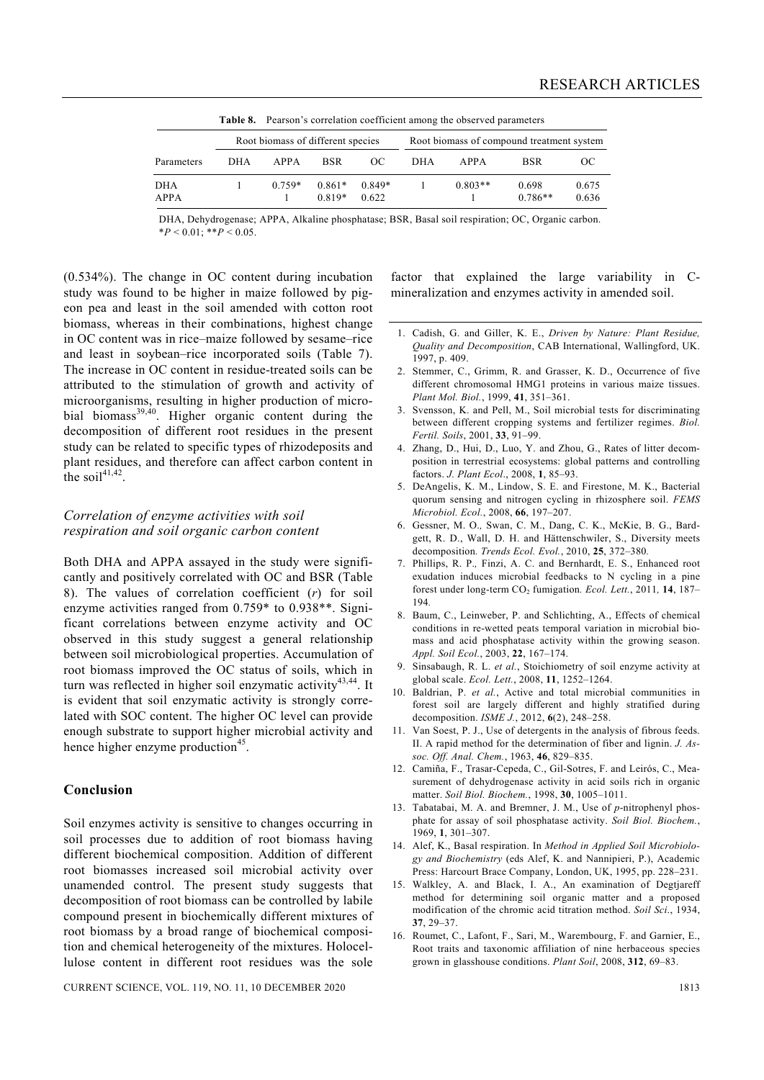|                    | <b>Table 8.</b> Pearson's correlation coefficient among the observed parameters |                                   |                      |                   |            |                                           |                    |                |  |  |
|--------------------|---------------------------------------------------------------------------------|-----------------------------------|----------------------|-------------------|------------|-------------------------------------------|--------------------|----------------|--|--|
|                    |                                                                                 | Root biomass of different species |                      |                   |            | Root biomass of compound treatment system |                    |                |  |  |
| Parameters         | DHA.                                                                            | APPA                              | <b>BSR</b>           | OC.               | <b>DHA</b> | APPA                                      | BSR.               | OС             |  |  |
| DHA<br><b>APPA</b> |                                                                                 | $0.759*$                          | $0.861*$<br>$0.819*$ | $0.849*$<br>0.622 |            | $0.803**$                                 | 0.698<br>$0.786**$ | 0.675<br>0.636 |  |  |

**Table 8.** Pearson's correlation coefficient among the observed parameters

DHA, Dehydrogenase; APPA, Alkaline phosphatase; BSR, Basal soil respiration; OC, Organic carbon.  $*P < 0.01$ ;  $*P < 0.05$ .

(0.534%). The change in OC content during incubation study was found to be higher in maize followed by pigeon pea and least in the soil amended with cotton root biomass, whereas in their combinations, highest change in OC content was in rice–maize followed by sesame–rice and least in soybean–rice incorporated soils (Table 7). The increase in OC content in residue-treated soils can be attributed to the stimulation of growth and activity of microorganisms, resulting in higher production of microbial biomass<sup>39,40</sup>. Higher organic content during the decomposition of different root residues in the present study can be related to specific types of rhizodeposits and plant residues, and therefore can affect carbon content in the soil $41,42$ 

## *Correlation of enzyme activities with soil respiration and soil organic carbon content*

Both DHA and APPA assayed in the study were significantly and positively correlated with OC and BSR (Table 8). The values of correlation coefficient (*r*) for soil enzyme activities ranged from 0.759\* to 0.938\*\*. Significant correlations between enzyme activity and OC observed in this study suggest a general relationship between soil microbiological properties. Accumulation of root biomass improved the OC status of soils, which in turn was reflected in higher soil enzymatic activity<sup>43,44</sup>. It is evident that soil enzymatic activity is strongly correlated with SOC content. The higher OC level can provide enough substrate to support higher microbial activity and hence higher enzyme production<sup>45</sup>.

# **Conclusion**

Soil enzymes activity is sensitive to changes occurring in soil processes due to addition of root biomass having different biochemical composition. Addition of different root biomasses increased soil microbial activity over unamended control. The present study suggests that decomposition of root biomass can be controlled by labile compound present in biochemically different mixtures of root biomass by a broad range of biochemical composition and chemical heterogeneity of the mixtures. Holocellulose content in different root residues was the sole

CURRENT SCIENCE, VOL. 119, NO. 11, 10 DECEMBER 2020 1813

factor that explained the large variability in Cmineralization and enzymes activity in amended soil.

- 1. Cadish, G. and Giller, K. E., *Driven by Nature: Plant Residue, Quality and Decomposition*, CAB International, Wallingford, UK. 1997, p. 409.
- 2. Stemmer, C., Grimm, R. and Grasser, K. D., Occurrence of five different chromosomal HMG1 proteins in various maize tissues. *Plant Mol. Biol.*, 1999, **41**, 351–361.
- 3. Svensson, K. and Pell, M., Soil microbial tests for discriminating between different cropping systems and fertilizer regimes. *Biol. Fertil. Soils*, 2001, **33**, 91–99.
- 4. Zhang, D., Hui, D., Luo, Y. and Zhou, G., Rates of litter decomposition in terrestrial ecosystems: global patterns and controlling factors. *J. Plant Ecol*., 2008, **1**, 85–93.
- 5. DeAngelis, K. M., Lindow, S. E. and Firestone, M. K., Bacterial quorum sensing and nitrogen cycling in rhizosphere soil. *FEMS Microbiol. Ecol.*, 2008, **66**, 197–207.
- 6. Gessner, M. O.*,* Swan, C. M., Dang, C. K., McKie, B. G., Bardgett, R. D., Wall, D. H. and Hättenschwiler, S., Diversity meets decomposition*. Trends Ecol. Evol.*, 2010, **25**, 372*–*380*.*
- 7. Phillips, R. P.*,* Finzi, A. C. and Bernhardt, E. S., Enhanced root exudation induces microbial feedbacks to N cycling in a pine forest under long-term CO2 fumigation*. Ecol. Lett.*, 2011*,* **14**, 187*–* 194*.*
- 8. Baum, C., Leinweber, P. and Schlichting, A., Effects of chemical conditions in re-wetted peats temporal variation in microbial biomass and acid phosphatase activity within the growing season. *Appl. Soil Ecol.*, 2003, **22**, 167–174.
- 9. Sinsabaugh, R. L. *et al.*, Stoichiometry of soil enzyme activity at global scale. *Ecol. Lett.*, 2008, **11**, 1252–1264.
- 10. Baldrian, P. *et al.*, Active and total microbial communities in forest soil are largely different and highly stratified during decomposition. *ISME J.*, 2012, **6**(2), 248–258.
- 11. Van Soest, P. J., Use of detergents in the analysis of fibrous feeds. II. A rapid method for the determination of fiber and lignin. *J. Assoc. Off. Anal. Chem.*, 1963, **46**, 829–835.
- 12. Camiña, F., Trasar-Cepeda, C., Gil-Sotres, F. and Leirós, C., Measurement of dehydrogenase activity in acid soils rich in organic matter. *Soil Biol. Biochem.*, 1998, **30**, 1005–1011.
- 13. Tabatabai, M. A. and Bremner, J. M., Use of *p*-nitrophenyl phosphate for assay of soil phosphatase activity. *Soil Biol. Biochem.*, 1969, **1**, 301–307.
- 14. Alef, K., Basal respiration. In *Method in Applied Soil Microbiology and Biochemistry* (eds Alef, K. and Nannipieri, P.), Academic Press: Harcourt Brace Company, London, UK, 1995, pp. 228–231.
- 15. Walkley, A. and Black, I. A., An examination of Degtjareff method for determining soil organic matter and a proposed modification of the chromic acid titration method. *Soil Sci*., 1934, **37**, 29–37.
- 16. Roumet, C., Lafont, F., Sari, M., Warembourg, F. and Garnier, E., Root traits and taxonomic affiliation of nine herbaceous species grown in glasshouse conditions. *Plant Soil*, 2008, **312**, 69–83.